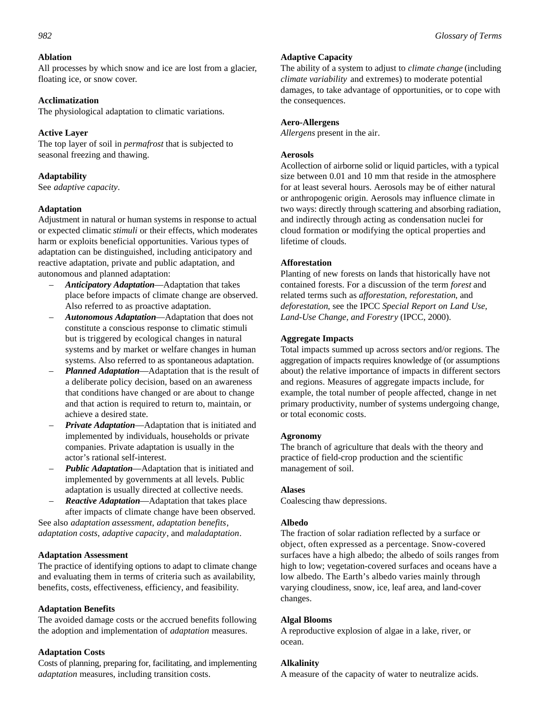### **Ablation**

All processes by which snow and ice are lost from a glacier, floating ice, or snow cover.

# **Acclimatization**

The physiological adaptation to climatic variations.

# **Active Layer**

The top layer of soil in *permafrost* that is subjected to seasonal freezing and thawing.

# **Adaptability**

See *adaptive capacity*.

# **Adaptation**

Adjustment in natural or human systems in response to actual or expected climatic *stimuli* or their effects, which moderates harm or exploits beneficial opportunities. Various types of adaptation can be distinguished, including anticipatory and reactive adaptation, private and public adaptation, and autonomous and planned adaptation:

- *Anticipatory Adaptation*—Adaptation that takes place before impacts of climate change are observed. Also referred to as proactive adaptation.
- *Autonomous Adaptation*—Adaptation that does not constitute a conscious response to climatic stimuli but is triggered by ecological changes in natural systems and by market or welfare changes in human systems. Also referred to as spontaneous adaptation.
- *Planned Adaptation*—Adaptation that is the result of a deliberate policy decision, based on an awareness that conditions have changed or are about to change and that action is required to return to, maintain, or achieve a desired state.
- *Private Adaptation*—Adaptation that is initiated and implemented by individuals, households or private companies. Private adaptation is usually in the actor's rational self-interest.
- *Public Adaptation*—Adaptation that is initiated and implemented by governments at all levels. Public adaptation is usually directed at collective needs.
- *Reactive Adaptation*—Adaptation that takes place after impacts of climate change have been observed.

See also *adaptation assessment*, *adaptation benefits*, *adaptation costs*, *adaptive capacity*, and *maladaptation*.

# **Adaptation Assessment**

The practice of identifying options to adapt to climate change and evaluating them in terms of criteria such as availability, benefits, costs, effectiveness, efficiency, and feasibility.

# **Adaptation Benefits**

The avoided damage costs or the accrued benefits following the adoption and implementation of *adaptation* measures.

# **Adaptation Costs**

Costs of planning, preparing for, facilitating, and implementing *adaptation* measures, including transition costs.

# **Adaptive Capacity**

The ability of a system to adjust to *climate change* (including *climate variability* and extremes) to moderate potential damages, to take advantage of opportunities, or to cope with the consequences.

# **Aero-Allergens**

*Allergens* present in the air.

# **Aerosols**

Acollection of airborne solid or liquid particles, with a typical size between 0.01 and 10 mm that reside in the atmosphere for at least several hours. Aerosols may be of either natural or anthropogenic origin. Aerosols may influence climate in two ways: directly through scattering and absorbing radiation, and indirectly through acting as condensation nuclei for cloud formation or modifying the optical properties and lifetime of clouds.

# **Afforestation**

Planting of new forests on lands that historically have not contained forests. For a discussion of the term *forest* and related terms such as *afforestation*, *reforestation*, and *deforestation*, see the IPCC *Special Report on Land Use, Land-Use Change, and Forestry* (IPCC, 2000).

# **Aggregate Impacts**

Total impacts summed up across sectors and/or regions. The aggregation of impacts requires knowledge of (or assumptions about) the relative importance of impacts in different sectors and regions. Measures of aggregate impacts include, for example, the total number of people affected, change in net primary productivity, number of systems undergoing change, or total economic costs.

# **Agronomy**

The branch of agriculture that deals with the theory and practice of field-crop production and the scientific management of soil.

# **Alases**

Coalescing thaw depressions.

# **Albedo**

The fraction of solar radiation reflected by a surface or object, often expressed as a percentage. Snow-covered surfaces have a high albedo; the albedo of soils ranges from high to low; vegetation-covered surfaces and oceans have a low albedo. The Earth's albedo varies mainly through varying cloudiness, snow, ice, leaf area, and land-cover changes.

# **Algal Blooms**

A reproductive explosion of algae in a lake, river, or ocean.

# **Alkalinity**

A measure of the capacity of water to neutralize acids.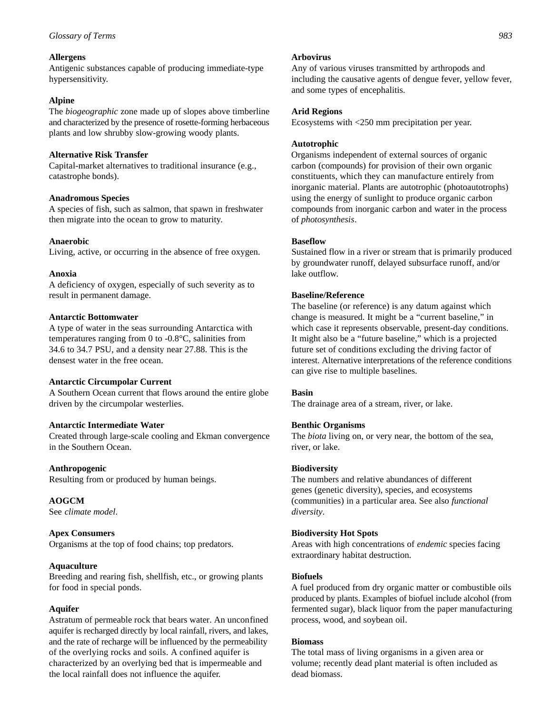# **Allergens**

Antigenic substances capable of producing immediate-type hypersensitivity.

# **Alpine**

The *biogeographic* zone made up of slopes above timberline and characterized by the presence of rosette-forming herbaceous plants and low shrubby slow-growing woody plants.

# **Alternative Risk Transfer**

Capital-market alternatives to traditional insurance (e.g., catastrophe bonds).

# **Anadromous Species**

A species of fish, such as salmon, that spawn in freshwater then migrate into the ocean to grow to maturity.

# **Anaerobic**

Living, active, or occurring in the absence of free oxygen.

# **Anoxia**

A deficiency of oxygen, especially of such severity as to result in permanent damage.

# **Antarctic Bottomwater**

A type of water in the seas surrounding Antarctica with temperatures ranging from 0 to -0.8 $^{\circ}$ C, salinities from 34.6 to 34.7 PSU, and a density near 27.88. This is the densest water in the free ocean.

# **Antarctic Circumpolar Current**

A Southern Ocean current that flows around the entire globe driven by the circumpolar westerlies.

# **Antarctic Intermediate Water**

Created through large-scale cooling and Ekman convergence in the Southern Ocean.

# **Anthropogenic**

Resulting from or produced by human beings.

# **AOGCM**

See *climate model*.

# **Apex Consumers**

Organisms at the top of food chains; top predators.

# **Aquaculture**

Breeding and rearing fish, shellfish, etc., or growing plants for food in special ponds.

# **Aquifer**

Astratum of permeable rock that bears water. An unconfined aquifer is recharged directly by local rainfall, rivers, and lakes, and the rate of recharge will be influenced by the permeability of the overlying rocks and soils. A confined aquifer is characterized by an overlying bed that is impermeable and the local rainfall does not influence the aquifer.

# **Arbovirus**

Any of various viruses transmitted by arthropods and including the causative agents of dengue fever, yellow fever, and some types of encephalitis.

# **Arid Regions**

Ecosystems with <250 mm precipitation per year.

# **Autotrophic**

Organisms independent of external sources of organic carbon (compounds) for provision of their own organic constituents, which they can manufacture entirely from inorganic material. Plants are autotrophic (photoautotrophs) using the energy of sunlight to produce organic carbon compounds from inorganic carbon and water in the process of *photosynthesis*.

# **Baseflow**

Sustained flow in a river or stream that is primarily produced by groundwater runoff, delayed subsurface runoff, and/or lake outflow.

# **Baseline/Reference**

The baseline (or reference) is any datum against which change is measured. It might be a "current baseline," in which case it represents observable, present-day conditions. It might also be a "future baseline," which is a projected future set of conditions excluding the driving factor of interest. Alternative interpretations of the reference conditions can give rise to multiple baselines.

# **Basin**

The drainage area of a stream, river, or lake.

# **Benthic Organisms**

The *biota* living on, or very near, the bottom of the sea, river, or lake.

# **Biodiversity**

The numbers and relative abundances of different genes (genetic diversity), species, and ecosystems (communities) in a particular area. See also *functional diversity*.

# **Biodiversity Hot Spots**

Areas with high concentrations of *endemic* species facing extraordinary habitat destruction.

# **Biofuels**

A fuel produced from dry organic matter or combustible oils produced by plants. Examples of biofuel include alcohol (from fermented sugar), black liquor from the paper manufacturing process, wood, and soybean oil.

# **Biomass**

The total mass of living organisms in a given area or volume; recently dead plant material is often included as dead biomass.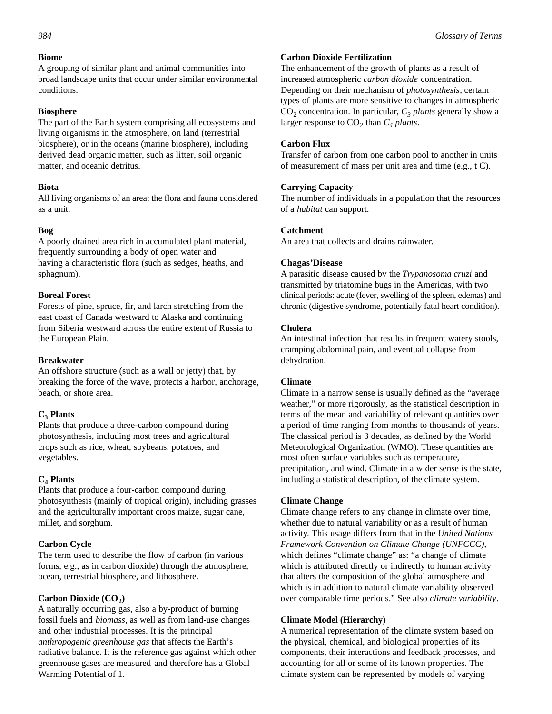# **Biome**

A grouping of similar plant and animal communities into broad landscape units that occur under similar environmental conditions.

# **Biosphere**

The part of the Earth system comprising all ecosystems and living organisms in the atmosphere, on land (terrestrial biosphere), or in the oceans (marine biosphere), including derived dead organic matter, such as litter, soil organic matter, and oceanic detritus.

# **Biota**

All living organisms of an area; the flora and fauna considered as a unit.

# **Bog**

A poorly drained area rich in accumulated plant material, frequently surrounding a body of open water and having a characteristic flora (such as sedges, heaths, and sphagnum).

# **Boreal Forest**

Forests of pine, spruce, fir, and larch stretching from the east coast of Canada westward to Alaska and continuing from Siberia westward across the entire extent of Russia to the European Plain.

# **Breakwater**

An offshore structure (such as a wall or jetty) that, by breaking the force of the wave, protects a harbor, anchorage, beach, or shore area.

# **C<sup>3</sup> Plants**

Plants that produce a three-carbon compound during photosynthesis, including most trees and agricultural crops such as rice, wheat, soybeans, potatoes, and vegetables.

# **C<sup>4</sup> Plants**

Plants that produce a four-carbon compound during photosynthesis (mainly of tropical origin), including grasses and the agriculturally important crops maize, sugar cane, millet, and sorghum.

# **Carbon Cycle**

The term used to describe the flow of carbon (in various forms, e.g., as in carbon dioxide) through the atmosphere, ocean, terrestrial biosphere, and lithosphere.

# **Carbon Dioxide (CO<sup>2</sup> )**

A naturally occurring gas, also a by-product of burning fossil fuels and *biomass*, as well as from land-use changes and other industrial processes. It is the principal *anthropogenic greenhouse gas* that affects the Earth's radiative balance. It is the reference gas against which other greenhouse gases are measured and therefore has a Global Warming Potential of 1.

# **Carbon Dioxide Fertilization**

The enhancement of the growth of plants as a result of increased atmospheric *carbon dioxide* concentration. Depending on their mechanism of *photosynthesis*, certain types of plants are more sensitive to changes in atmospheric  $CO<sub>2</sub>$  concentration. In particular,  $C<sub>3</sub>$  *plants* generally show a larger response to  $CO_2$  than  $C_4$  *plants*.

# **Carbon Flux**

Transfer of carbon from one carbon pool to another in units of measurement of mass per unit area and time (e.g., t C).

# **Carrying Capacity**

The number of individuals in a population that the resources of a *habitat* can support.

# **Catchment**

An area that collects and drains rainwater.

# **Chagas'Disease**

A parasitic disease caused by the *Trypanosoma cruzi* and transmitted by triatomine bugs in the Americas, with two clinical periods: acute (fever, swelling of the spleen, edemas) and chronic (digestive syndrome, potentially fatal heart condition).

# **Cholera**

An intestinal infection that results in frequent watery stools, cramping abdominal pain, and eventual collapse from dehydration.

# **Climate**

Climate in a narrow sense is usually defined as the "average weather," or more rigorously, as the statistical description in terms of the mean and variability of relevant quantities over a period of time ranging from months to thousands of years. The classical period is 3 decades, as defined by the World Meteorological Organization (WMO). These quantities are most often surface variables such as temperature, precipitation, and wind. Climate in a wider sense is the state, including a statistical description, of the climate system.

# **Climate Change**

Climate change refers to any change in climate over time, whether due to natural variability or as a result of human activity. This usage differs from that in the *United Nations Framework Convention on Climate Change (UNFCCC)*, which defines "climate change" as: "a change of climate which is attributed directly or indirectly to human activity that alters the composition of the global atmosphere and which is in addition to natural climate variability observed over comparable time periods." See also *climate variability*.

# **Climate Model (Hierarchy)**

A numerical representation of the climate system based on the physical, chemical, and biological properties of its components, their interactions and feedback processes, and accounting for all or some of its known properties. The climate system can be represented by models of varying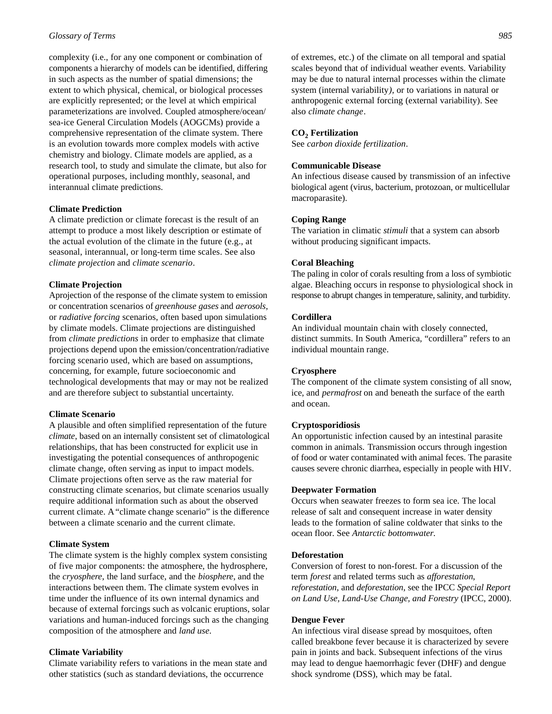complexity (i.e., for any one component or combination of components a hierarchy of models can be identified, differing in such aspects as the number of spatial dimensions; the extent to which physical, chemical, or biological processes are explicitly represented; or the level at which empirical parameterizations are involved. Coupled atmosphere/ocean/ sea-ice General Circulation Models (AOGCMs) provide a comprehensive representation of the climate system. There is an evolution towards more complex models with active chemistry and biology. Climate models are applied, as a research tool, to study and simulate the climate, but also for operational purposes, including monthly, seasonal, and interannual climate predictions.

#### **Climate Prediction**

A climate prediction or climate forecast is the result of an attempt to produce a most likely description or estimate of the actual evolution of the climate in the future (e.g., at seasonal, interannual, or long-term time scales. See also *c l imate projection* and *climate scenario*.

#### **Climate Projection**

Aprojection of the response of the climate system to emission or concentration scenarios of *greenhouse gases* and *aerosols*, or *radiative forcing* scenarios, often based upon simulations by climate models. Climate projections are distinguished from *climate predictions* in order to emphasize that climate projections depend upon the emission/concentration/radiative forcing scenario used, which are based on assumptions, concerning, for example, future socioeconomic and technological developments that may or may not be realized and are therefore subject to substantial uncertainty.

#### **Climate Scenario**

A plausible and often simplified representation of the future *climate*, based on an internally consistent set of climatological relationships, that has been constructed for explicit use in investigating the potential consequences of anthropogenic climate change, often serving as input to impact models. Climate projections often serve as the raw material for constructing climate scenarios, but climate scenarios usually require additional information such as about the observed current climate. A "climate change scenario" is the difference between a climate scenario and the current climate.

#### **Climate System**

The climate system is the highly complex system consisting of five major components: the atmosphere, the hydrosphere, the *cryosphere*, the land surface, and the *biosphere*, and the interactions between them. The climate system evolves in time under the influence of its own internal dynamics and because of external forcings such as volcanic eruptions, solar variations and human-induced forcings such as the changing composition of the atmosphere and *land use*.

#### **Climate Variability**

Climate variability refers to variations in the mean state and other statistics (such as standard deviations, the occurrence

of extremes, etc.) of the climate on all temporal and spatial scales beyond that of individual weather events. Variability may be due to natural internal processes within the climate system (internal variability*)*, or to variations in natural or anthropogenic external forcing (external variability). See also *climate change*.

#### **CO<sup>2</sup> Fertilization**

See *carbon dioxide fertilization*.

#### **Communicable Disease**

An infectious disease caused by transmission of an infective biological agent (virus, bacterium, protozoan, or multicellular macroparasite).

#### **Coping Range**

The variation in climatic *stimuli* that a system can absorb without producing significant impacts.

#### **Coral Bleaching**

The paling in color of corals resulting from a loss of symbiotic algae. Bleaching occurs in response to physiological shock in response to abrupt changes in temperature, salinity, and turbidity.

#### **Cordillera**

An individual mountain chain with closely connected, distinct summits. In South America, "cordillera" refers to an individual mountain range.

#### **Cryosphere**

The component of the climate system consisting of all snow, ice, and *permafrost* on and beneath the surface of the earth and ocean.

#### **Cryptosporidiosis**

An opportunistic infection caused by an intestinal parasite common in animals. Transmission occurs through ingestion of food or water contaminated with animal feces. The parasite causes severe chronic diarrhea, especially in people with HIV.

#### **Deepwater Formation**

Occurs when seawater freezes to form sea ice. The local release of salt and consequent increase in water density leads to the formation of saline coldwater that sinks to the ocean floor. See *Antarctic bottomwater*.

#### **Deforestation**

Conversion of forest to non-forest. For a discussion of the term *forest* and related terms such as *afforestation*, *reforestation, and deforestation, see the IPCC Special Report on Land Use, Land-Use Change, and Forestry* (IPCC, 2000).

#### **Dengue Fever**

An infectious viral disease spread by mosquitoes, often called breakbone fever because it is characterized by severe pain in joints and back. Subsequent infections of the virus may lead to dengue haemorrhagic fever (DHF) and dengue shock syndrome (DSS), which may be fatal.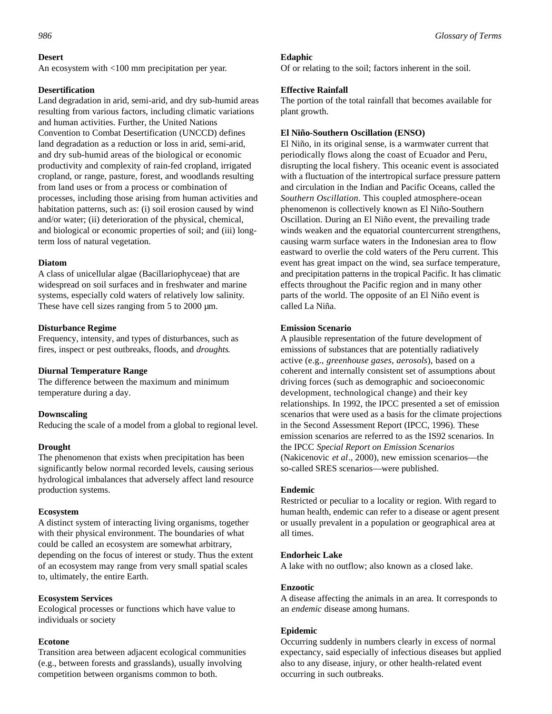# **Desert**

An ecosystem with <100 mm precipitation per year.

### **Desertification**

Land degradation in arid, semi-arid, and dry sub-humid areas resulting from various factors, including climatic variations and human activities. Further, the United Nations Convention to Combat Desertification (UNCCD) defines land degradation as a reduction or loss in arid, semi-arid, and dry sub-humid areas of the biological or economic productivity and complexity of rain-fed cropland, irrigated cropland, or range, pasture, forest, and woodlands resulting from land uses or from a process or combination of processes, including those arising from human activities and habitation patterns, such as: (i) soil erosion caused by wind and/or water; (ii) deterioration of the physical, chemical, and biological or economic properties of soil; and (iii) longterm loss of natural vegetation.

### **Diatom**

A class of unicellular algae (Bacillariophyceae) that are widespread on soil surfaces and in freshwater and marine systems, especially cold waters of relatively low salinity. These have cell sizes ranging from 5 to 2000  $\mu$ m.

### **Disturbance Regime**

Frequency, intensity, and types of disturbances, such as fires, inspect or pest outbreaks, floods, and *droughts*.

### **Diurnal Temperature Range**

The difference between the maximum and minimum temperature during a day.

#### **Downscaling**

Reducing the scale of a model from a global to regional level.

#### **Drought**

The phenomenon that exists when precipitation has been significantly below normal recorded levels, causing serious hydrological imbalances that adversely affect land resource production systems.

#### **Ecosystem**

A distinct system of interacting living organisms, together with their physical environment. The boundaries of what could be called an ecosystem are somewhat arbitrary, depending on the focus of interest or study. Thus the extent of an ecosystem may range from very small spatial scales to, ultimately, the entire Earth.

#### **Ecosystem Services**

Ecological processes or functions which have value to individuals or society

#### **Ecotone**

Transition area between adjacent ecological communities (e.g., between forests and grasslands), usually involving competition between organisms common to both.

# **Edaphic**

Of or relating to the soil; factors inherent in the soil.

# **Effective Rainfall**

The portion of the total rainfall that becomes available for plant growth.

### **El Niño-Southern Oscillation (ENSO)**

El Niño, in its original sense, is a warmwater current that periodically flows along the coast of Ecuador and Peru, disrupting the local fishery. This oceanic event is associated with a fluctuation of the intertropical surface pressure pattern and circulation in the Indian and Pacific Oceans, called the *Southern Oscillation*. This coupled atmosphere-ocean phenomenon is collectively known as El Niño-Southern Oscillation. During an El Niño event, the prevailing trade winds weaken and the equatorial countercurrent strengthens, causing warm surface waters in the Indonesian area to flow eastward to overlie the cold waters of the Peru current. This event has great impact on the wind, sea surface temperature, and precipitation patterns in the tropical Pacific. It has climatic effects throughout the Pacific region and in many other parts of the world. The opposite of an El Niño event is called La Niña.

# **Emission Scenario**

A plausible representation of the future development of emissions of substances that are potentially radiatively active (e.g., *greenhouse gases*, *aerosols*), based on a coherent and internally consistent set of assumptions about driving forces (such as demographic and socioeconomic development, technological change) and their key relationships. In 1992, the IPCC presented a set of emission scenarios that were used as a basis for the climate projections in the Second Assessment Report (IPCC, 1996). These emission scenarios are referred to as the IS92 scenarios. In the IPCC *Special Report on Emission Scenarios* (Nakicenovic *et al*., 2000), new emission scenarios—the so-called SRES scenarios—were published.

#### **Endemic**

Restricted or peculiar to a locality or region. With regard to human health, endemic can refer to a disease or agent present or usually prevalent in a population or geographical area at all times.

### **Endorheic Lake**

A lake with no outflow; also known as a closed lake.

#### **Enzootic**

A disease affecting the animals in an area. It corresponds to an *endemic* disease among humans.

# **Epidemic**

Occurring suddenly in numbers clearly in excess of normal expectancy, said especially of infectious diseases but applied also to any disease, injury, or other health-related event occurring in such outbreaks.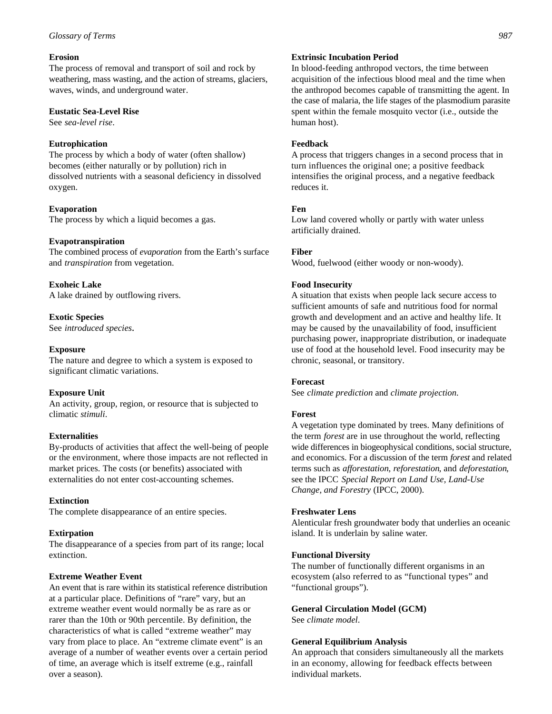#### **Erosion**

The process of removal and transport of soil and rock by weathering, mass wasting, and the action of streams, glaciers, waves, winds, and underground water.

#### **Eustatic Sea-Level Rise**

See *sea-level rise*.

# **Eutrophication**

The process by which a body of water (often shallow) becomes (either naturally or by pollution) rich in dissolved nutrients with a seasonal deficiency in dissolved oxygen.

# **Evaporation**

The process by which a liquid becomes a gas.

# **Evapotranspiration**

The combined process of *evaporation* from the Earth's surface and *transpiration* from vegetation.

**Exoheic Lake** A lake drained by outflowing rivers.

**Exotic Species** See *introduced species*.

### **Exposure**

The nature and degree to which a system is exposed to significant climatic variations.

# **Exposure Unit**

An activity, group, region, or resource that is subjected to climatic *stimuli*.

# **Externalities**

By-products of activities that affect the well-being of people or the environment, where those impacts are not reflected in market prices. The costs (or benefits) associated with externalities do not enter cost-accounting schemes.

# **Extinction**

The complete disappearance of an entire species.

# **Extirpation**

The disappearance of a species from part of its range; local extinction.

### **Extreme Weather Event**

An event that is rare within its statistical reference distribution at a particular place. Definitions of "rare" vary, but an extreme weather event would normally be as rare as or rarer than the 10th or 90th percentile. By definition, the characteristics of what is called "extreme weather" may vary from place to place. An "extreme climate event" is an average of a number of weather events over a certain period of time, an average which is itself extreme (e.g., rainfall over a season).

### **Extrinsic Incubation Period**

In blood-feeding anthropod vectors, the time between acquisition of the infectious blood meal and the time when the anthropod becomes capable of transmitting the agent. In the case of malaria, the life stages of the plasmodium parasite spent within the female mosquito vector (i.e., outside the human host).

### **Feedback**

A process that triggers changes in a second process that in turn influences the original one; a positive feedback intensifies the original process, and a negative feedback reduces it.

### **Fen**

Low land covered wholly or partly with water unless artificially drained.

#### **Fiber**

Wood, fuelwood (either woody or non-woody).

### **Food Insecurity**

A situation that exists when people lack secure access to sufficient amounts of safe and nutritious food for normal growth and development and an active and healthy life. It may be caused by the unavailability of food, insufficient purchasing power, inappropriate distribution, or inadequate use of food at the household level. Food insecurity may be chronic, seasonal, or transitory.

#### **Forecast**

See *climate prediction* and *climate projection*.

# **Forest**

A vegetation type dominated by trees. Many definitions of the term *forest* are in use throughout the world, reflecting wide differences in biogeophysical conditions, social structure, and economics. For a discussion of the term *forest* and related terms such as *afforestation*, *reforestation*, and *deforestation*, see the IPCC *Special Report on Land Use, Land-Use Change, and Forestry* (IPCC, 2000).

#### **Freshwater Lens**

Alenticular fresh groundwater body that underlies an oceanic island. It is underlain by saline water.

#### **Functional Diversity**

The number of functionally different organisms in an ecosystem (also referred to as "functional types" and " functional groups").

#### **General Circulation Model (GCM)**

See *climate model*.

#### **General Equilibrium Analysis**

An approach that considers simultaneously all the markets in an economy, allowing for feedback effects between individual markets.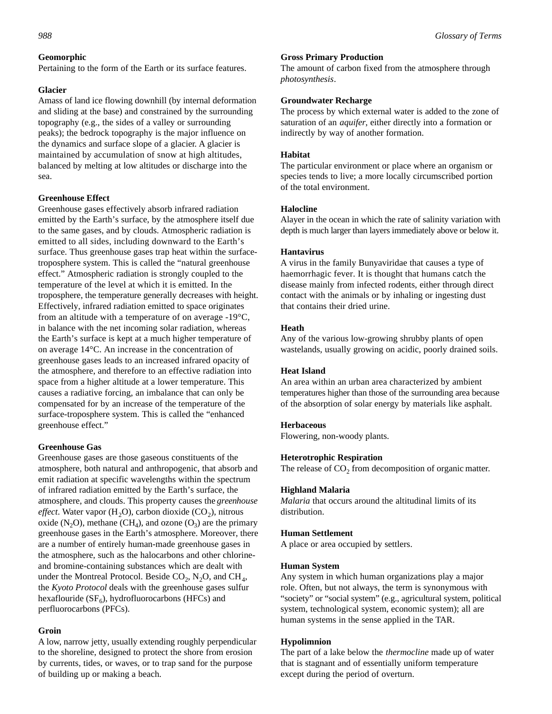#### **Geomorphic**

Pertaining to the form of the Earth or its surface features.

#### **Glacier**

Amass of land ice flowing downhill (by internal deformation and sliding at the base) and constrained by the surrounding topography (e.g., the sides of a valley or surrounding peaks); the bedrock topography is the major influence on the dynamics and surface slope of a glacier. A glacier is maintained by accumulation of snow at high altitudes, balanced by melting at low altitudes or discharge into the sea.

# **Greenhouse Effect**

Greenhouse gases effectively absorb infrared radiation emitted by the Earth's surface, by the atmosphere itself due to the same gases, and by clouds. Atmospheric radiation is emitted to all sides, including downward to the Earth's surface. Thus greenhouse gases trap heat within the surfacetroposphere system. This is called the "natural greenhouse effect." Atmospheric radiation is strongly coupled to the temperature of the level at which it is emitted. In the troposphere, the temperature generally decreases with height. Effectively, infrared radiation emitted to space originates from an altitude with a temperature of on average -19°C, in balance with the net incoming solar radiation, whereas the Earth's surface is kept at a much higher temperature of on average 14°C. An increase in the concentration of greenhouse gases leads to an increased infrared opacity of the atmosphere, and therefore to an effective radiation into space from a higher altitude at a lower temperature. This causes a radiative forcing, an imbalance that can only be compensated for by an increase of the temperature of the surface-troposphere system. This is called the "enhanced greenhouse effect."

#### **Greenhouse Gas**

Greenhouse gases are those gaseous constituents of the atmosphere, both natural and anthropogenic, that absorb and emit radiation at specific wavelengths within the spectrum of infrared radiation emitted by the Earth's surface, the atmosphere, and clouds. This property causes the *greenhouse effect*. Water vapor (H<sub>2</sub>O), carbon dioxide (CO<sub>2</sub>), nitrous oxide  $(N_2O)$ , methane  $(CH_4)$ , and ozone  $(O_3)$  are the primary greenhouse gases in the Earth's atmosphere. Moreover, there are a number of entirely human-made greenhouse gases in the atmosphere, such as the halocarbons and other chlorineand bromine-containing substances which are dealt with under the Montreal Protocol. Beside  $CO_2$ , N<sub>2</sub>O, and CH<sub>4</sub>, the *Kyoto Protocol* deals with the greenhouse gases sulfur hexaflouride  $(SF_6)$ , hydrofluorocarbons (HFCs) and perfluorocarbons (PFCs).

#### **Groin**

A low, narrow jetty, usually extending roughly perpendicular to the shoreline, designed to protect the shore from erosion by currents, tides, or waves, or to trap sand for the purpose of building up or making a beach.

The amount of carbon fixed from the atmosphere through *photosynthesis*.

#### **Groundwater Recharge**

The process by which external water is added to the zone of saturation of an *aquifer*, either directly into a formation or indirectly by way of another formation.

#### **Habitat**

The particular environment or place where an organism or species tends to live; a more locally circumscribed portion of the total environment.

#### **Halocline**

Alayer in the ocean in which the rate of salinity variation with depth is much larger than layers immediately above or below it.

#### **Hantavirus**

A virus in the family Bunyaviridae that causes a type of haemorrhagic fever. It is thought that humans catch the disease mainly from infected rodents, either through direct contact with the animals or by inhaling or ingesting dust that contains their dried urine.

#### **Heath**

Any of the various low-growing shrubby plants of open wastelands, usually growing on acidic, poorly drained soils.

#### **Heat Island**

An area within an urban area characterized by ambient temperatures higher than those of the surrounding area because of the absorption of solar energy by materials like asphalt.

#### **Herbaceous**

Flowering, non-woody plants.

#### **Heterotrophic Respiration**

The release of  $CO<sub>2</sub>$  from decomposition of organic matter.

#### **Highland Malaria**

*Malaria* that occurs around the altitudinal limits of its distribution.

#### **Human Settlement**

A place or area occupied by settlers.

#### **Human System**

Any system in which human organizations play a major role. Often, but not always, the term is synonymous with "society" or "social system" (e.g., agricultural system, political system, technological system, economic system); all are human systems in the sense applied in the TAR.

#### **Hypolimnion**

The part of a lake below the *thermocline* made up of water that is stagnant and of essentially uniform temperature except during the period of overturn.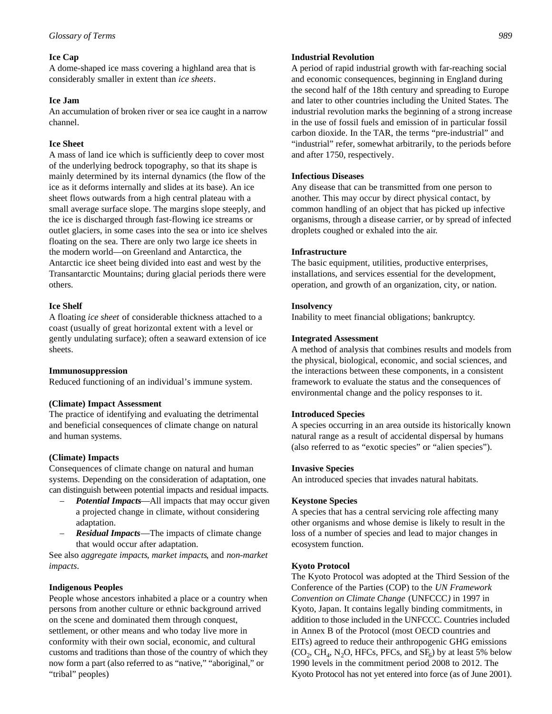# **Ice Cap**

A dome-shaped ice mass covering a highland area that is considerably smaller in extent than *ice sheets*.

### **Ice Jam**

An accumulation of broken river or sea ice caught in a narrow channel.

# **Ice Sheet**

A mass of land ice which is sufficiently deep to cover most of the underlying bedrock topography, so that its shape is mainly determined by its internal dynamics (the flow of the ice as it deforms internally and slides at its base). An ice sheet flows outwards from a high central plateau with a small average surface slope. The margins slope steeply, and the ice is discharged through fast-flowing ice streams or outlet glaciers, in some cases into the sea or into ice shelves floating on the sea. There are only two large ice sheets in the modern world—on Greenland and Antarctica, the Antarctic ice sheet being divided into east and west by the Transantarctic Mountains; during glacial periods there were others.

# **Ice Shelf**

A floating *ice sheet* of considerable thickness attached to a coast (usually of great horizontal extent with a level or gently undulating surface); often a seaward extension of ice sheets.

# **Immunosuppression**

Reduced functioning of an individual's immune system.

# **(Climate) Impact Assessment**

The practice of identifying and evaluating the detrimental and beneficial consequences of climate change on natural and human systems.

# **(Climate) Impacts**

Consequences of climate change on natural and human systems. Depending on the consideration of adaptation, one can distinguish between potential impacts and residual impacts.

- *Potential Impacts*—All impacts that may occur given a projected change in climate, without considering adaptation.
- *Residual Impacts*—The impacts of climate change that would occur after adaptation.

See also *aggregate impacts*, *market impacts*, and *non-market impacts*.

# **Indigenous Peoples**

People whose ancestors inhabited a place or a country when persons from another culture or ethnic background arrived on the scene and dominated them through conquest, settlement, or other means and who today live more in conformity with their own social, economic, and cultural customs and traditions than those of the country of which they now form a part (also referred to as "native," "aboriginal," or "tribal" peoples)

# **Industrial Revolution**

A period of rapid industrial growth with far-reaching social and economic consequences, beginning in England during the second half of the 18th century and spreading to Europe and later to other countries including the United States. The industrial revolution marks the beginning of a strong increase in the use of fossil fuels and emission of in particular fossil carbon dioxide. In the TAR, the terms "pre-industrial" and "industrial" refer, somewhat arbitrarily, to the periods before and after 1750, respectively.

# **Infectious Diseases**

Any disease that can be transmitted from one person to another. This may occur by direct physical contact, by common handling of an object that has picked up infective organisms, through a disease carrier, or by spread of infected droplets coughed or exhaled into the air.

# **Infrastructure**

The basic equipment, utilities, productive enterprises, in stallations, and services essential for the development, operation, and growth of an organization, city, or nation.

# **Insolvency**

Inability to meet financial obligations; bankruptcy.

# **Integrated Assessment**

A method of analysis that combines results and models from the physical, biological, economic, and social sciences, and the interactions between these components, in a consistent framework to evaluate the status and the consequences of environmental change and the policy responses to it.

# **Introduced Species**

A species occurring in an area outside its historically known natural range as a result of accidental dispersal by humans (also referred to as "exotic species" or "alien species").

# **Invasive Species**

An introduced species that invades natural habitats.

# **Keystone Species**

A species that has a central servicing role affecting many other organisms and whose demise is likely to result in the loss of a number of species and lead to major changes in ecosystem function.

# **Kyoto Protocol**

The Kyoto Protocol was adopted at the Third Session of the Conference of the Parties (COP) to the *UN Framework Convention on Climate Change* (UNFCCC*)* in 1997 in Kyoto, Japan. It contains legally binding commitments, in addition to those included in the UNFCCC. Countries included in Annex B of the Protocol (most OECD countries and EITs) agreed to reduce their anthropogenic GHG emissions  $(CO_2, CH_4, N_2O, HFCs, PFCs, and SF_6)$  by at least 5% below 1990 levels in the commitment period 2008 to 2012. The Kyoto Protocol has not yet entered into force (as of June 2001).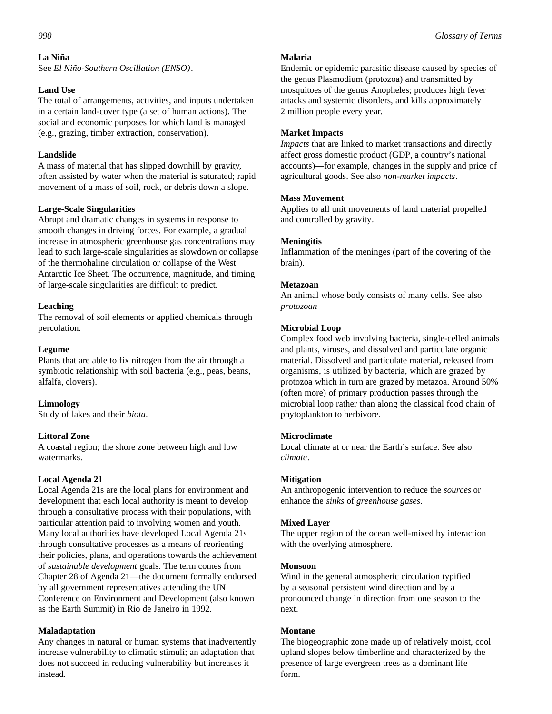# **La Niña**  See *El Niño-Southern Oscillation (ENSO)*.

# **Land Use**

The total of arrangements, activities, and inputs undertaken in a certain land-cover type (a set of human actions). The social and economic purposes for which land is managed (e.g., grazing, timber extraction, conservation).

# **Landslide**

A mass of material that has slipped downhill by gravity, often assisted by water when the material is saturated; rapid movement of a mass of soil, rock, or debris down a slope.

# **Large-Scale Singularities**

Abrupt and dramatic changes in systems in response to smooth changes in driving forces. For example, a gradual increase in atmospheric greenhouse gas concentrations may lead to such large-scale singularities as slowdown or collapse of the thermohaline circulation or collapse of the West Antarctic Ice Sheet. The occurrence, magnitude, and timing of large-scale singularities are difficult to predict.

# **Leaching**

The removal of soil elements or applied chemicals through percolation.

# **Legume**

Plants that are able to fix nitrogen from the air through a symbiotic relationship with soil bacteria (e.g., peas, beans, alfalfa, clovers).

# **Limnology**

Study of lakes and their *biota*.

# **Littoral Zone**

A coastal region; the shore zone between high and low watermarks.

# **Local Agenda 21**

Local Agenda 21s are the local plans for environment and development that each local authority is meant to develop through a consultative process with their populations, with particular attention paid to involving women and youth. Many local authorities have developed Local Agenda 21s through consultative processes as a means of reorienting their policies, plans, and operations towards the achievement of *sustainable development* goals. The term comes from Chapter 28 of Agenda 21—the document formally endorsed by all government representatives attending the UN Conference on Environment and Development (also known as the Earth Summit) in Rio de Janeiro in 1992.

# **Maladaptation**

Any changes in natural or human systems that inadvertently increase vulnerability to climatic stimuli; an adaptation that does not succeed in reducing vulnerability but increases it instead.

# **Malaria**

Endemic or epidemic parasitic disease caused by species of the genus Plasmodium (protozoa) and transmitted by mosquitoes of the genus Anopheles; produces high fever attacks and systemic disorders, and kills approximately 2 million people every year.

# **Market Impacts**

*Impacts* that are linked to market transactions and directly affect gross domestic product (GDP, a country's national accounts)—for example, changes in the supply and price of agricultural goods. See also *non-market impacts*.

# **Mass Movement**

Applies to all unit movements of land material propelled and controlled by gravity.

# **Meningitis**

Inflammation of the meninges (part of the covering of the brain).

# **Metazoan**

An animal whose body consists of many cells. See also *protozoan* 

# **Microbial Loop**

Complex food web involving bacteria, single-celled animals and plants, viruses, and dissolved and particulate organic material. Dissolved and particulate material, released from organisms, is utilized by bacteria, which are grazed by protozoa which in turn are grazed by metazoa. Around 50% (often more) of primary production passes through the microbial loop rather than along the classical food chain of phytoplankton to herbivore.

# **Microclimate**

Local climate at or near the Earth's surface. See also *climate*.

# **Mitigation**

An anthropogenic intervention to reduce the *sources* or enhance the *sinks* of *greenhouse gases*.

# **Mixed Layer**

The upper region of the ocean well-mixed by interaction with the overlying atmosphere.

# **Monsoon**

Wind in the general atmospheric circulation typified by a seasonal persistent wind direction and by a pronounced change in direction from one season to the next.

# **Montane**

The biogeographic zone made up of relatively moist, cool upland slopes below timberline and characterized by the presence of large evergreen trees as a dominant life form.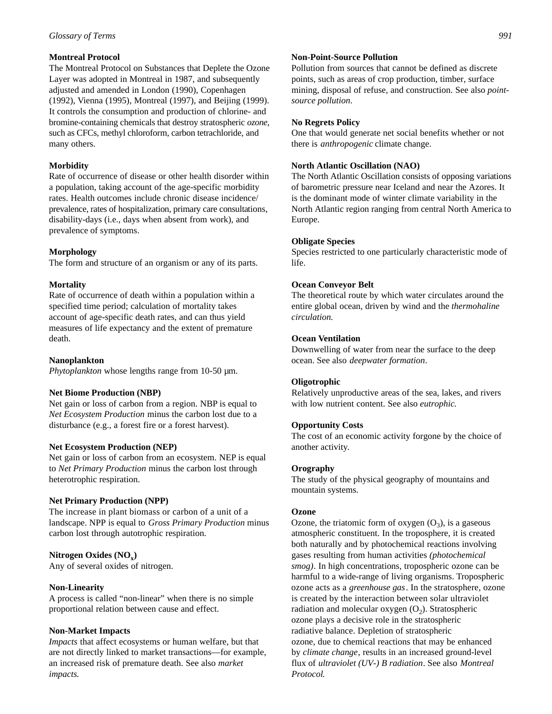### **Montreal Protocol**

The Montreal Protocol on Substances that Deplete the Ozone Layer was adopted in Montreal in 1987, and subsequently adjusted and amended in London (1990), Copenhagen (1992), Vienna (1995), Montreal (1997), and Beijing (1999). It controls the consumption and production of chlorine- and bromine-containing chemicals that destroy stratospheric *ozone*, such as CFCs, methyl chloroform, carbon tetrachloride, and many others.

# **Morbidity**

Rate of occurrence of disease or other health disorder within a population, taking account of the age-specific morbidity rates. Health outcomes include chronic disease incidence/ prevalence, rates of hospitalization, primary care consultations, disability-days (i.e., days when absent from work), and prevalence of symptoms.

# **Morphology**

The form and structure of an organism or any of its parts.

# **Mortality**

Rate of occurrence of death within a population within a specified time period; calculation of mortality takes account of age-specific death rates, and can thus yield measures of life expectancy and the extent of premature death.

# **Nanoplankton**

*Phytoplankton* whose lengths range from 10-50  $\mu$ m.

# **Net Biome Production (NBP)**

Net gain or loss of carbon from a region. NBP is equal to *Net Ecosystem Production* minus the carbon lost due to a disturbance (e.g., a forest fire or a forest harvest).

# **Net Ecosystem Production (NEP)**

Net gain or loss of carbon from an ecosystem. NEP is equal to *Net Primary Production* minus the carbon lost through heterotrophic respiration.

# **Net Primary Production (NPP)**

The increase in plant biomass or carbon of a unit of a landscape. NPP is equal to *Gross Primary Production* minus carbon lost through autotrophic respiration.

# **Nitrogen Oxides (NO<sup>x</sup> )**

Any of several oxides of nitrogen.

# **Non-Linearity**

A process is called "non-linear" when there is no simple proportional relation between cause and effect.

# **Non-Market Impacts**

*Impacts* that affect ecosystems or human welfare, but that are not directly linked to market transactions—for example, an increased risk of premature death. See also *market impacts*.

### **Non-Point-Source Pollution**

Pollution from sources that cannot be defined as discrete points, such as areas of crop production, timber, surface mining, disposal of refuse, and construction. See also *pointsource pollution*.

### **No Regrets Policy**

One that would generate net social benefits whether or not there is *anthropogenic* climate change.

# **North Atlantic Oscillation (NAO)**

The North Atlantic Oscillation consists of opposing variations of barometric pressure near Iceland and near the Azores. It is the dominant mode of winter climate variability in the North Atlantic region ranging from central North America to Europe.

# **Obligate Species**

Species restricted to one particularly characteristic mode of life.

# **Ocean Conveyor Belt**

The theoretical route by which water circulates around the entire global ocean, driven by wind and the *thermohaline circulation*.

### **Ocean Ventilation**

Downwelling of water from near the surface to the deep ocean. See also *deepwater formation*.

# **Oligotrophic**

Relatively unproductive areas of the sea, lakes, and rivers with low nutrient content. See also *eutrophic*.

# **Opportunity Costs**

The cost of an economic activity forgone by the choice of another activity.

#### **Orography**

The study of the physical geography of mountains and mountain systems.

# **Ozone**

Ozone, the triatomic form of oxygen  $(O_3)$ , is a gaseous atmospheric constituent. In the troposphere, it is created both naturally and by photochemical reactions involving gases resulting from human activities *(photochemical smog)*. In high concentrations, tropospheric ozone can be harmful to a wide-range of living organisms. Tropospheric ozone acts as a *g reenhouse gas*. In the stratosphere, ozone is created by the interaction between solar ultraviolet radiation and molecular oxygen  $(O_2)$ . Stratospheric ozone plays a decisive role in the stratospheric radiative balance. Depletion of stratospheric ozone, due to chemical reactions that may be enhanced by *climate change*, results in an increased ground-level flux of *ultraviolet (UV-) B radiation*. See also *Montreal Protocol*.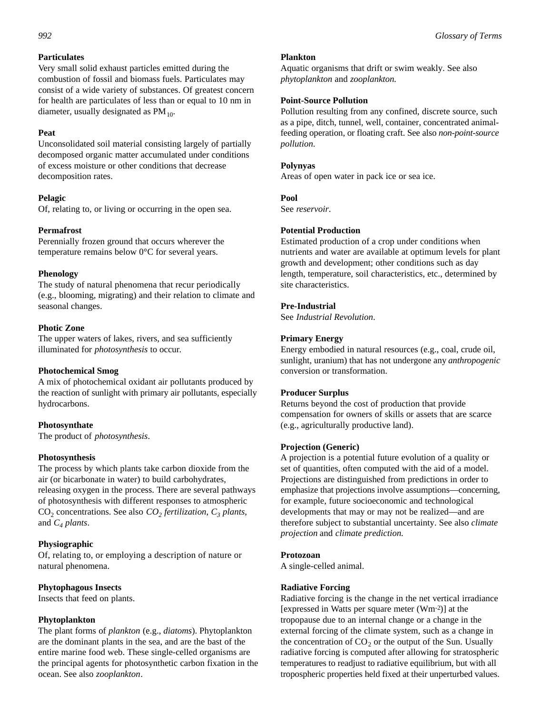# **Particulates**

Very small solid exhaust particles emitted during the combustion of fossil and biomass fuels. Particulates may consist of a wide variety of substances. Of greatest concern for health are particulates of less than or equal to 10 nm in diameter, usually designated as  $PM_{10}$ .

# **Peat**

Unconsolidated soil material consisting largely of partially decomposed organic matter accumulated under conditions of excess moisture or other conditions that decrease decomposition rates.

# **Pelagic**

Of, relating to, or living or occurring in the open sea.

# **Permafrost**

Perennially frozen ground that occurs wherever the temperature remains below 0°C for several years.

# **Phenology**

The study of natural phenomena that recur periodically (e.g., blooming, migrating) and their relation to climate and seasonal changes.

# **Photic Zone**

The upper waters of lakes, rivers, and sea sufficiently illuminated for *photosynthesis* to occur.

# **Photochemical Smog**

A mix of photochemical oxidant air pollutants produced by the reaction of sunlight with primary air pollutants, especially hydrocarbons.

# **Photosynthate**

The product of *photosynthesis*.

# **Photosynthesis**

The process by which plants take carbon dioxide from the air (or bicarbonate in water) to build carbohydrates, releasing oxygen in the process. There are several pathways of photosynthesis with different responses to atmospheric  $CO<sub>2</sub>$  concentrations. See also  $CO<sub>2</sub>$  *fertilization*,  $C<sub>3</sub>$  *plants*, and *C<sup>4</sup> plants*.

# **Physiographic**

Of, relating to, or employing a description of nature or natural phenomena.

# **Phytophagous Insects**

Insects that feed on plants.

# **Phytoplankton**

The plant forms of *plankton* (e.g., *diatoms*). Phytoplankton are the dominant plants in the sea, and are the bast of the entire marine food web. These single-celled organisms are the principal agents for photosynthetic carbon fixation in the ocean. See also *zooplankton*.

### **Plankton**

Aquatic organisms that drift or swim weakly. See also *phytoplankton* and *zooplankton*.

# **Point-Source Pollution**

Pollution resulting from any confined, discrete source, such as a pipe, ditch, tunnel, well, container, concentrated animalfeeding operation, or floating craft. See also *non-point-source pollution*.

# **Polynyas**

Areas of open water in pack ice or sea ice.

# **Pool**

See *reservoir*.

# **Potential Production**

Estimated production of a crop under conditions when nutrients and water are available at optimum levels for plant growth and development; other conditions such as day length, temperature, soil characteristics, etc., determined by site characteristics.

# **Pre-Industrial**

See *Industrial Revolution*.

### **Primary Energy**

Energy embodied in natural resources (e.g., coal, crude oil, sunlight, uranium) that has not undergone any *anthropogenic* conversion or transformation.

# **Producer Surplus**

Returns beyond the cost of production that provide compensation for owners of skills or assets that are scarce (e.g., agriculturally productive land).

# **Projection (Generic)**

A projection is a potential future evolution of a quality or set of quantities, often computed with the aid of a model. Projections are distinguished from predictions in order to emphasize that projections involve assumptions—concerning, for example, future socioeconomic and technological developments that may or may not be realized—and are therefore subject to substantial uncertainty. See also *climate projection* and *climate prediction*.

# **Protozoan**

A single-celled animal.

# **Radiative Forcing**

Radiative forcing is the change in the net vertical irradiance [expressed in Watts per square meter (Wm-2)] at the tropopause due to an internal change or a change in the external forcing of the climate system, such as a change in the concentration of  $CO<sub>2</sub>$  or the output of the Sun. Usually radiative forcing is computed after allowing for stratospheric temperatures to readjust to radiative equilibrium, but with all tropospheric properties held fixed at their unperturbed values.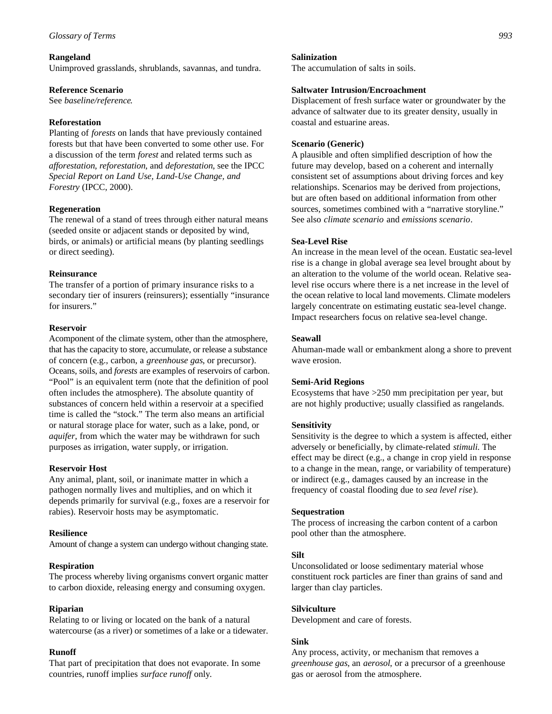# **Rangeland**

Unimproved grasslands, shrublands, savannas, and tundra.

#### **Reference Scenario**

See *baseline/reference*.

# **Reforestation**

Planting of *forests* on lands that have previously contained forests but that have been converted to some other use. For a discussion of the term *forest* and related terms such as *afforestation*, *reforestation*, and *deforestation*, see the IPCC *Special Report on Land Use, Land-Use Change, and Forestry* (IPCC, 2000).

# **Regeneration**

The renewal of a stand of trees through either natural means (seeded onsite or adjacent stands or deposited by wind, birds, or animals) or artificial means (by planting seedlings or direct seeding).

### **Reinsurance**

The transfer of a portion of primary insurance risks to a secondary tier of insurers (reinsurers); essentially "insurance for insurers."

### **Reservoir**

Acomponent of the climate system, other than the atmosphere, that has the capacity to store, accumulate, or release a substance of concern (e.g., carbon, a *greenhouse gas*, or precursor). Oceans, soils, and *forests* are examples of reservoirs of carbon. "Pool" is an equivalent term (note that the definition of pool often includes the atmosphere). The absolute quantity of substances of concern held within a reservoir at a specified time is called the "stock." The term also means an artificial or natural storage place for water, such as a lake, pond, or *aquifer*, from which the water may be withdrawn for such purposes as irrigation, water supply, or irrigation.

# **Reservoir Host**

Any animal, plant, soil, or inanimate matter in which a pathogen normally lives and multiplies, and on which it depends primarily for survival (e.g., foxes are a reservoir for rabies). Reservoir hosts may be asymptomatic.

#### **Resilience**

Amount of change a system can undergo without changing state.

#### **Respiration**

The process whereby living organisms convert organic matter to carbon dioxide, releasing energy and consuming oxygen.

# **Riparian**

Relating to or living or located on the bank of a natural watercourse (as a river) or sometimes of a lake or a tidewater.

# **Runoff**

That part of precipitation that does not evaporate. In some countries, runoff implies *surface runoff* only.

### **Salinization**

The accumulation of salts in soils.

### **Saltwater Intrusion/Encroachment**

Displacement of fresh surface water or groundwater by the advance of saltwater due to its greater density, usually in coastal and estuarine areas.

### **Scenario (Generic)**

A plausible and often simplified description of how the future may develop, based on a coherent and internally consistent set of assumptions about driving forces and key relationships. Scenarios may be derived from projections, but are often based on additional information from other sources, sometimes combined with a "narrative storyline." See also *climate scenario* and *emissions scenario*.

#### **Sea-Level Rise**

An increase in the mean level of the ocean. Eustatic sea-level rise is a change in global average sea level brought about by an alteration to the volume of the world ocean. Relative sealevel rise occurs where there is a net increase in the level of the ocean relative to local land movements. Climate modelers largely concentrate on estimating eustatic sea-level change. Impact researchers focus on relative sea-level change.

#### **Seawall**

Ahuman-made wall or embankment along a shore to prevent wave erosion.

#### **Semi-Arid Regions**

Ecosystems that have >250 mm precipitation per year, but are not highly productive; usually classified as rangelands.

#### **Sensitivity**

Sensitivity is the degree to which a system is affected, either adversely or beneficially, by climate-related *stimuli*. The effect may be direct (e.g., a change in crop yield in response to a change in the mean, range, or variability of temperature) or indirect (e.g., damages caused by an increase in the frequency of coastal flooding due to *sea level rise*).

#### **Sequestration**

The process of increasing the carbon content of a carbon pool other than the atmosphere.

#### **Silt**

Unconsolidated or loose sedimentary material whose constituent rock particles are finer than grains of sand and larger than clay particles.

#### **Silviculture**

Development and care of forests.

#### **Sink**

Any process, activity, or mechanism that removes a *greenhouse gas*, an *aerosol*, or a precursor of a greenhouse gas or aerosol from the atmosphere.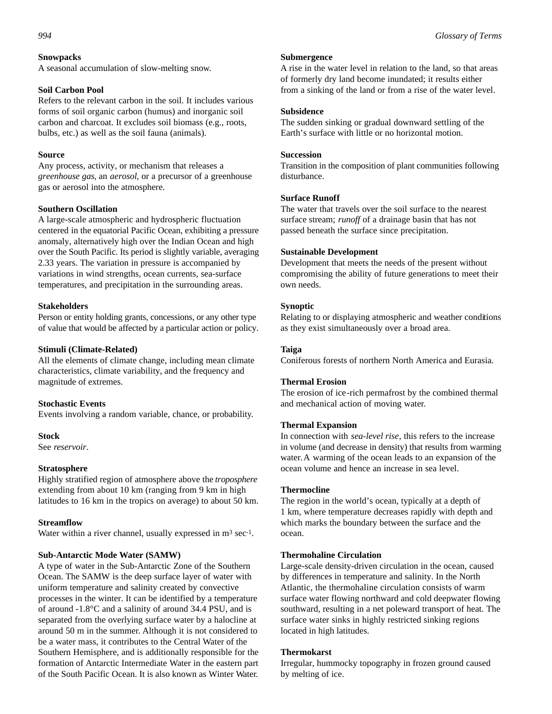# **Snowpacks**

A seasonal accumulation of slow-melting snow.

# **Soil Carbon Pool**

Refers to the relevant carbon in the soil. It includes various forms of soil organic carbon (humus) and inorganic soil carbon and charcoat. It excludes soil biomass (e.g., roots, bulbs, etc.) as well as the soil fauna (animals).

# **Source**

Any process, activity, or mechanism that releases a *greenhouse gas*, an *aerosol*, or a precursor of a greenhouse gas or aerosol into the atmosphere.

# **Southern Oscillation**

A large-scale atmospheric and hydrospheric fluctuation centered in the equatorial Pacific Ocean, exhibiting a pressure anomaly, alternatively high over the Indian Ocean and high over the South Pacific. Its period is slightly variable, averaging 2.33 years. The variation in pressure is accompanied by variations in wind strengths, ocean currents, sea-surface temperatures, and precipitation in the surrounding areas.

# **Stakeholders**

Person or entity holding grants, concessions, or any other type of value that would be affected by a particular action or policy.

# **Stimuli (Climate-Related)**

All the elements of climate change, including mean climate characteristics, climate variability, and the frequency and magnitude of extremes.

# **Stochastic Events**

Events involving a random variable, chance, or probability.

# **Stock**

See *reservoir*.

# **Stratosphere**

Highly stratified region of atmosphere above the *troposphere* extending from about 10 km (ranging from 9 km in high latitudes to 16 km in the tropics on average) to about 50 km.

# **Streamflow**

Water within a river channel, usually expressed in m<sup>3</sup> sec<sup>-1</sup>.

# **Sub-Antarctic Mode Water (SAMW)**

A type of water in the Sub-Antarctic Zone of the Southern Ocean. The SAMW is the deep surface layer of water with uniform temperature and salinity created by convective processes in the winter. It can be identified by a temperature of around -1.8°C and a salinity of around 34.4 PSU, and is separated from the overlying surface water by a halocline at around 50 m in the summer. Although it is not considered to be a water mass, it contributes to the Central Water of the Southern Hemisphere, and is additionally responsible for the formation of Antarctic Intermediate Water in the eastern part of the South Pacific Ocean. It is also known as Winter Water.

# **Submergence**

A rise in the water level in relation to the land, so that areas of formerly dry land become inundated; it results either from a sinking of the land or from a rise of the water level.

# **Subsidence**

The sudden sinking or gradual downward settling of the Earth's surface with little or no horizontal motion.

# **Succession**

Transition in the composition of plant communities following disturbance.

# **Surface Runoff**

The water that travels over the soil surface to the nearest surface stream; *runoff* of a drainage basin that has not passed beneath the surface since precipitation.

# **Sustainable Development**

Development that meets the needs of the present without compromising the ability of future generations to meet their own needs.

# **Synoptic**

Relating to or displaying atmospheric and weather conditions as they exist simultaneously over a broad area.

# **Taiga**

Coniferous forests of northern North America and Eurasia.

# **Thermal Erosion**

The erosion of ice-rich permafrost by the combined thermal and mechanical action of moving water.

# **Thermal Expansion**

In connection with *sea-level rise*, this refers to the increase in volume (and decrease in density) that results from warming water.A warming of the ocean leads to an expansion of the ocean volume and hence an increase in sea level.

# **Thermocline**

The region in the world's ocean, typically at a depth of 1 km, where temperature decreases rapidly with depth and which marks the boundary between the surface and the ocean.

# **Thermohaline Circulation**

Large-scale density-driven circulation in the ocean, caused by differences in temperature and salinity. In the North Atlantic, the thermohaline circulation consists of warm surface water flowing northward and cold deepwater flowing southward, resulting in a net poleward transport of heat. The surface water sinks in highly restricted sinking regions located in high latitudes.

# **Thermokarst**

Irregular, hummocky topography in frozen ground caused by melting of ice.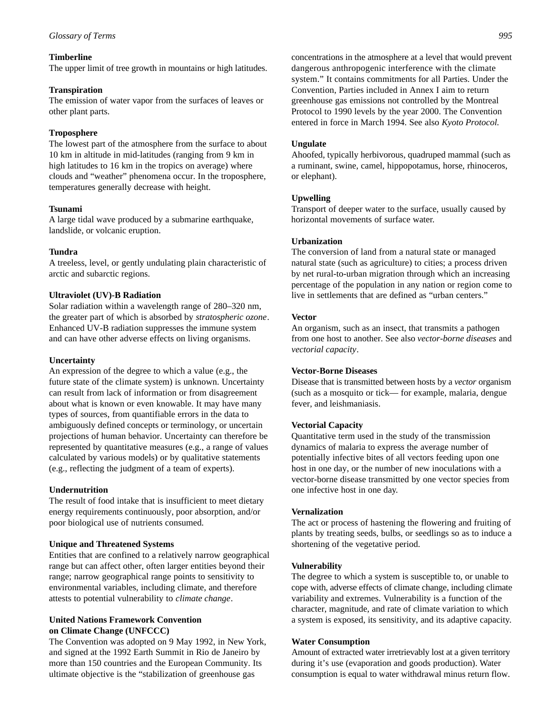### **Timberline**

The upper limit of tree growth in mountains or high latitudes.

#### **Transpiration**

The emission of water vapor from the surfaces of leaves or other plant parts.

#### **Troposphere**

The lowest part of the atmosphere from the surface to about 10 km in altitude in mid-latitudes (ranging from 9 km in high latitudes to 16 km in the tropics on average) where clouds and "weather" phenomena occur. In the troposphere, temperatures generally decrease with height.

#### **Tsunami**

A large tidal wave produced by a submarine earthquake, landslide, or volcanic eruption.

#### **Tundra**

A treeless, level, or gently undulating plain characteristic of arctic and subarctic regions.

#### **Ultraviolet (UV)-B Radiation**

Solar radiation within a wavelength range of 280–320 nm, the greater part of which is absorbed by *stratospheric ozone*. Enhanced UV-B radiation suppresses the immune system and can have other adverse effects on living organisms.

#### **Uncertainty**

An expression of the degree to which a value (e.g., the future state of the climate system) is unknown. Uncertainty can result from lack of information or from disagreement about what is known or even knowable. It may have many types of sources, from quantifiable errors in the data to ambiguously defined concepts or terminology, or uncertain projections of human behavior. Uncertainty can therefore be represented by quantitative measures (e.g., a range of values calculated by various models) or by qualitative statements (e.g., reflecting the judgment of a team of experts).

#### **Undernutrition**

The result of food intake that is insufficient to meet dietary energy requirements continuously, poor absorption, and/or poor biological use of nutrients consumed.

#### **Unique and Threatened Systems**

Entities that are confined to a relatively narrow geographical range but can affect other, often larger entities beyond their range; narrow geographical range points to sensitivity to environmental variables, including climate, and therefore attests to potential vulnerability to *climate change*.

### **United Nations Framework Convention on Climate Change (UNFCCC)**

The Convention was adopted on 9 May 1992, in New York, and signed at the 1992 Earth Summit in Rio de Janeiro by more than 150 countries and the European Community. Its ultimate objective is the "stabilization of greenhouse gas

concentrations in the atmosphere at a level that would prevent dangerous anthropogenic interference with the climate system." It contains commitments for all Parties. Under the Convention, Parties included in Annex I aim to return greenhouse gas emissions not controlled by the Montreal Protocol to 1990 levels by the year 2000. The Convention entered in force in March 1994. See also *Kyoto Protocol*.

#### **Ungulate**

Ahoofed, typically herbivorous, quadruped mammal (such as a ruminant, swine, camel, hippopotamus, horse, rhinoceros, or elephant).

#### **Upwelling**

Transport of deeper water to the surface, usually caused by horizontal movements of surface water.

#### **Urbanization**

The conversion of land from a natural state or managed natural state (such as agriculture) to cities; a process driven by net rural-to-urban migration through which an increasing percentage of the population in any nation or region come to live in settlements that are defined as "urban centers."

#### **Vector**

An organism, such as an insect, that transmits a pathogen from one host to another. See also *vector-borne diseases* and *vectorial capacity*.

#### **Vector-Borne Diseases**

Disease that is transmitted between hosts by a *vector* organism (such as a mosquito or tick— for example, malaria, dengue fever, and leishmaniasis.

#### **Vectorial Capacity**

Quantitative term used in the study of the transmission dynamics of malaria to express the average number of potentially infective bites of all vectors feeding upon one host in one day, or the number of new inoculations with a vector-borne disease transmitted by one vector species from one infective host in one day.

#### **Vernalization**

The act or process of hastening the flowering and fruiting of plants by treating seeds, bulbs, or seedlings so as to induce a shortening of the vegetative period.

#### **Vulnerability**

The degree to which a system is susceptible to, or unable to cope with, adverse effects of climate change, including climate variability and extremes. Vulnerability is a function of the character, magnitude, and rate of climate variation to which a system is exposed, its sensitivity, and its adaptive capacity.

#### **Water Consumption**

Amount of extracted water irretrievably lost at a given territory during it's use (evaporation and goods production). Water consumption is equal to water withdrawal minus return flow.